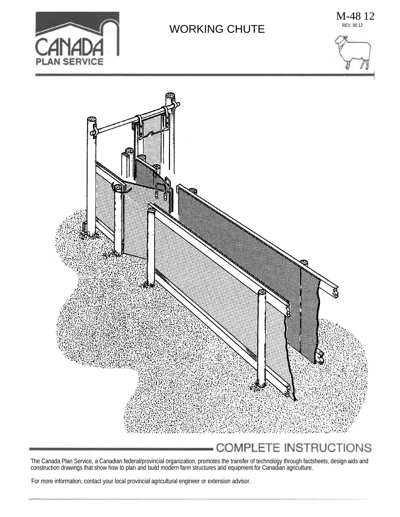

## WORKING CHUTE

M-48 12 REV. 90.12





The Canada Plan Service, a Canadian federal/provincial organization, promotes the transfer of technology through factsheets, design aids and construction drawings that show how to plan and build modern farm structures arid equipment for Canadian agriculture.

For more information, contact your local provincial agricultural engineer or extension advisor.